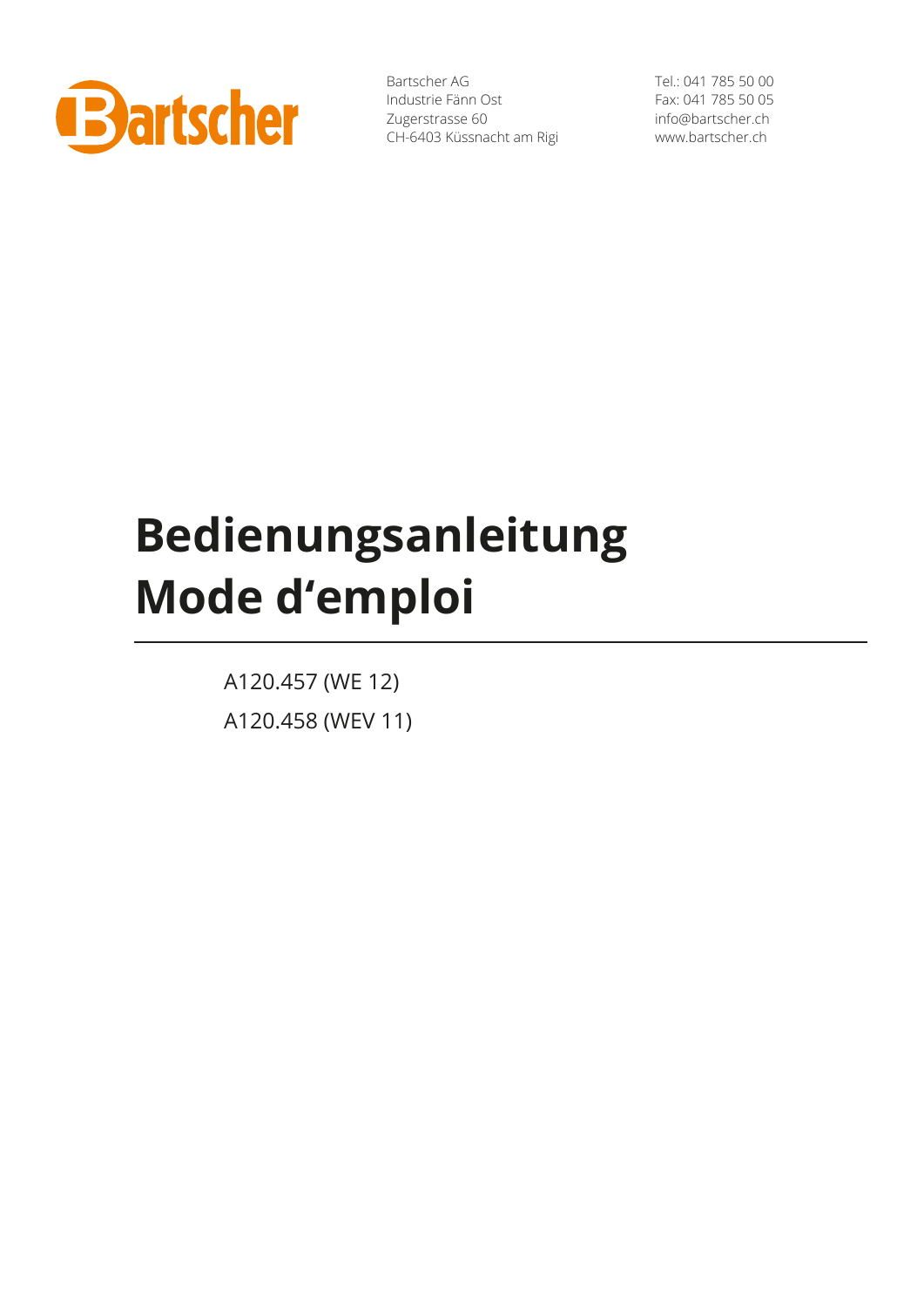

Bartscher AG Industrie Fänn Ost Zugerstrasse 60 CH-6403 Küssnacht am Rigi

Tel.: 041 785 50 00 Fax: 041 785 50 05 info@bartscher.ch www.bartscher.ch

# **Bedienungsanleitung Mode d'emploi**

A120.457 (WE 12) A120.458 (WEV 11)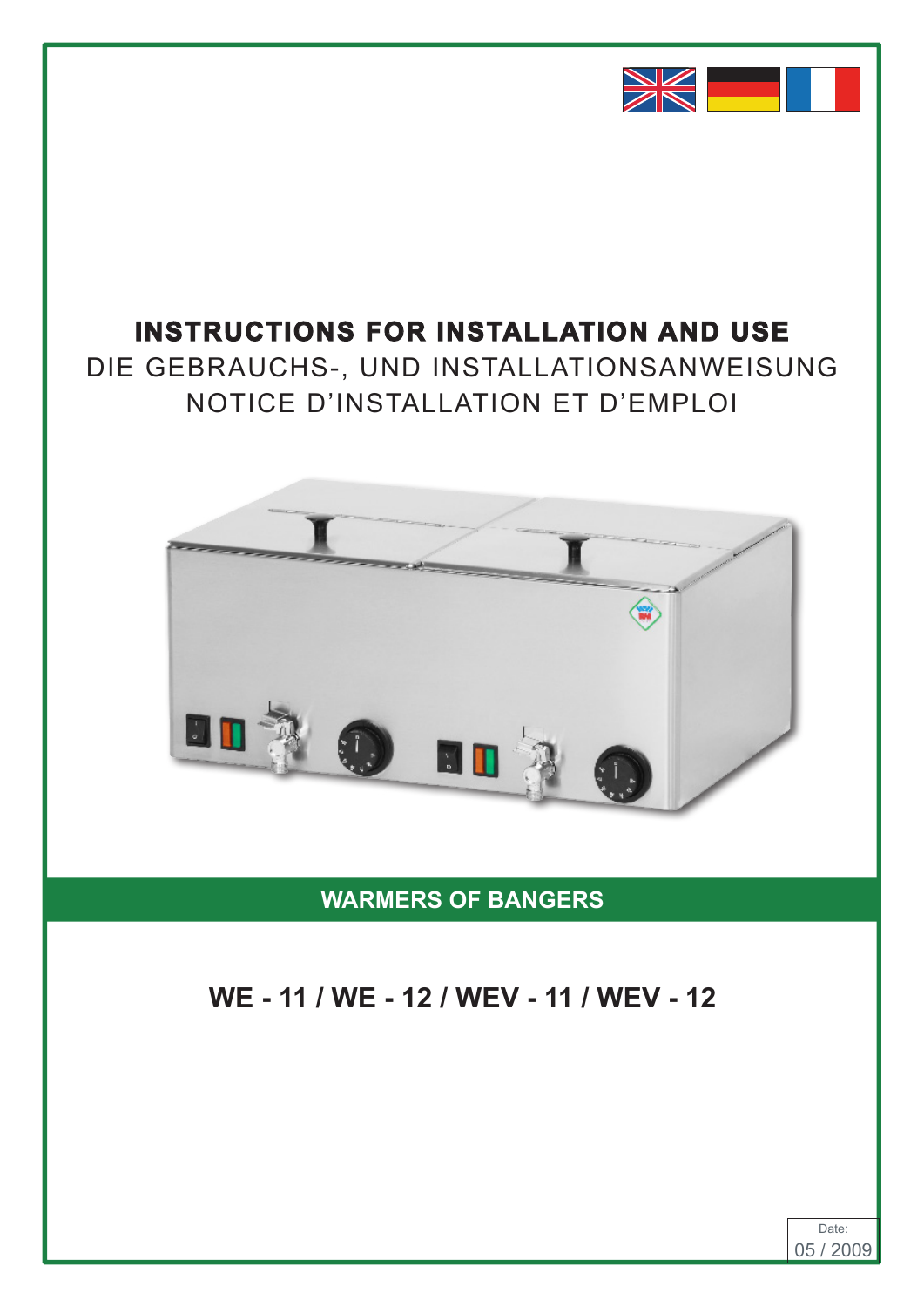

# **INSTRUCTIONS FOR INSTALLATION AND USE INSTRUCTIONS FOR INSTALLATION AND USE**

DIE GEBRAUCHS-, UND INSTALLATIONSANWEISUNG DIE GEBRAUCHS-, UND INSTALLATIONSANWEISUNG NOTICE D'INSTALLATION ET D'EMPLOI NOTICE D'INSTALLATION ET D'EMPLOI **IND INSTALLATION SANIFICE**  $\overline{N}$  NOTICE D'INSTALLATION ET D'EMPLOI



**WARMERS OF BANGERS**

# **WE - 11 / WE - 12 / WEV - 11 / WEV - 12**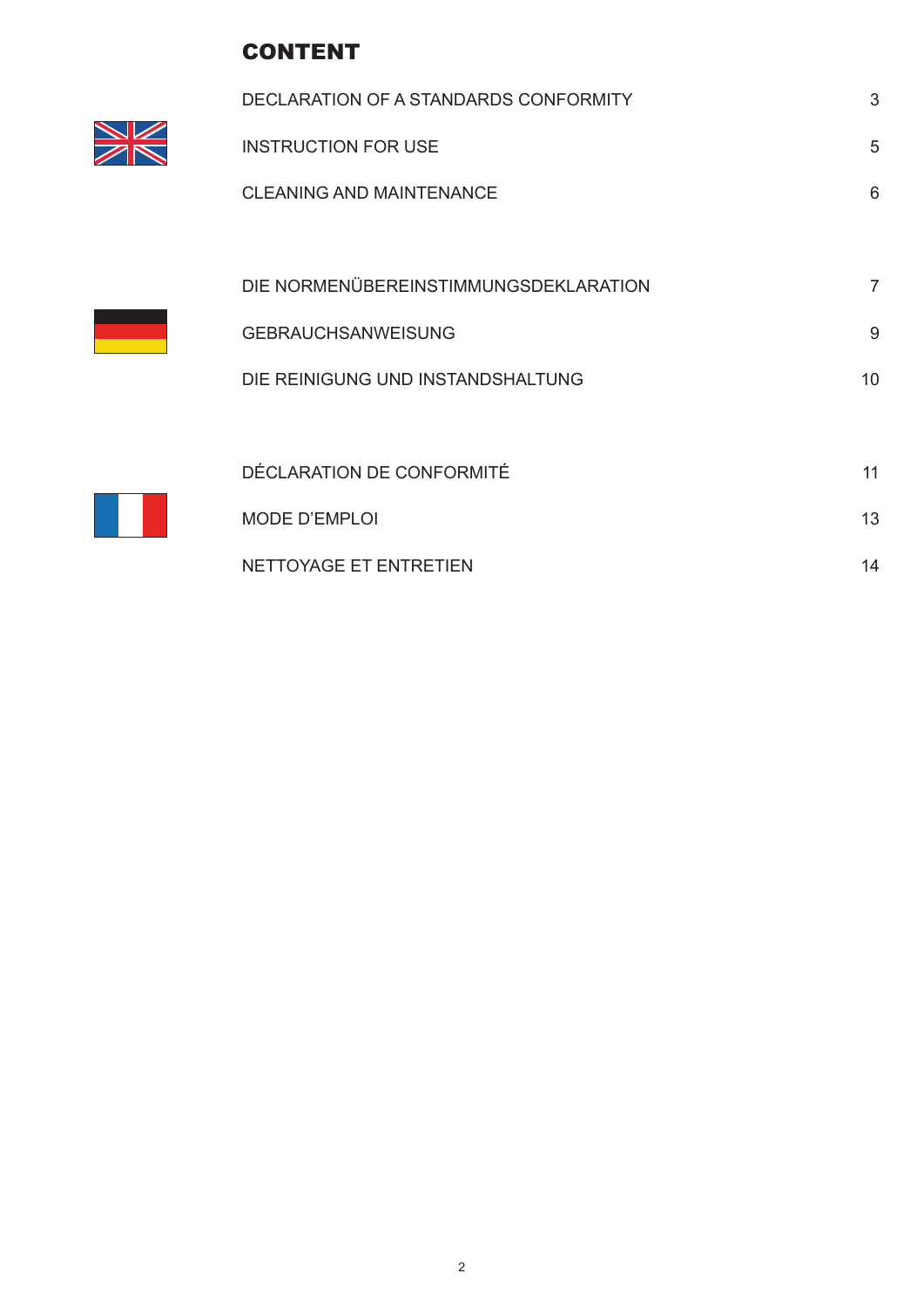# CONTENT

 $\equiv$ 

| DECLARATION OF A STANDARDS CONFORMITY | 3  |
|---------------------------------------|----|
| <b>INSTRUCTION FOR USE</b>            | 5  |
| <b>CLEANING AND MAINTENANCE</b>       | 6  |
|                                       |    |
| DIE NORMENÜBEREINSTIMMUNGSDEKLARATION | 7  |
| <b>GEBRAUCHSANWEISUNG</b>             | 9  |
| DIE REINIGUNG UND INSTANDSHALTUNG     | 10 |
|                                       |    |
| DÉCLARATION DE CONFORMITÉ             | 11 |
| <b>MODE D'EMPLOI</b>                  | 13 |
|                                       |    |

NETTOYAGE ET ENTRETIEN 14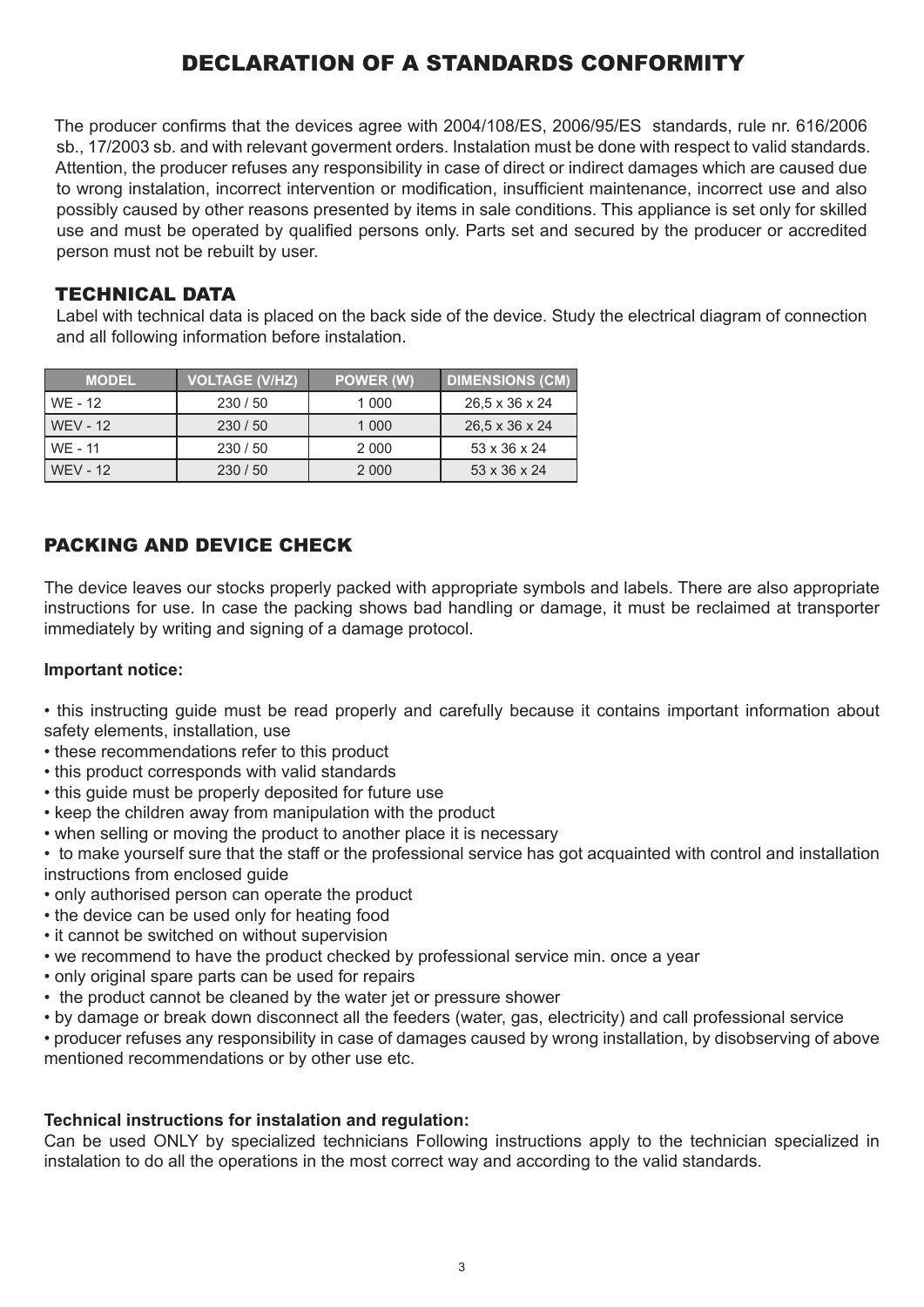# DECLARATION OF A STANDARDS CONFORMITY

The producer confirms that the devices agree with 2004/108/ES, 2006/95/ES standards, rule nr. 616/2006 sb., 17/2003 sb. and with relevant goverment orders. Instalation must be done with respect to valid standards. Attention, the producer refuses any responsibility in case of direct or indirect damages which are caused due to wrong instalation, incorrect intervention or modification, insufficient maintenance, incorrect use and also possibly caused by other reasons presented by items in sale conditions. This appliance is set only for skilled use and must be operated by qualified persons only. Parts set and secured by the producer or accredited person must not be rebuilt by user.

#### TECHNICAL DATA

Label with technical data is placed on the back side of the device. Study the electrical diagram of connection and all following information before instalation.

| <b>MODEL</b>    | <b>VOLTAGE (V/HZ)</b> | POWER (W) | <b>DIMENSIONS (CM)</b>   |
|-----------------|-----------------------|-----------|--------------------------|
| WE - 12         | 230/50                | 1 000     | 26,5 x 36 x 24           |
| <b>WEV - 12</b> | 230/50                | 1 0 0 0   | 26,5 x 36 x 24           |
| WE - 11         | 230/50                | 2 0 0 0   | 53 x 36 x 24             |
| <b>WEV - 12</b> | 230/50                | 2 0 0 0   | $53 \times 36 \times 24$ |

# PACKING AND DEVICE CHECK

The device leaves our stocks properly packed with appropriate symbols and labels. There are also appropriate instructions for use. In case the packing shows bad handling or damage, it must be reclaimed at transporter immediately by writing and signing of a damage protocol.

#### **Important notice:**

• this instructing guide must be read properly and carefully because it contains important information about safety elements, installation, use

- these recommendations refer to this product
- this product corresponds with valid standards
- this guide must be properly deposited for future use
- keep the children away from manipulation with the product
- when selling or moving the product to another place it is necessary
- to make yourself sure that the staff or the professional service has got acquainted with control and installation instructions from enclosed guide
- only authorised person can operate the product
- the device can be used only for heating food
- it cannot be switched on without supervision
- we recommend to have the product checked by professional service min. once a year
- only original spare parts can be used for repairs
- the product cannot be cleaned by the water jet or pressure shower
- by damage or break down disconnect all the feeders (water, gas, electricity) and call professional service

• producer refuses any responsibility in case of damages caused by wrong installation, by disobserving of above mentioned recommendations or by other use etc.

#### **Technical instructions for instalation and regulation:**

Can be used ONLY by specialized technicians Following instructions apply to the technician specialized in instalation to do all the operations in the most correct way and according to the valid standards.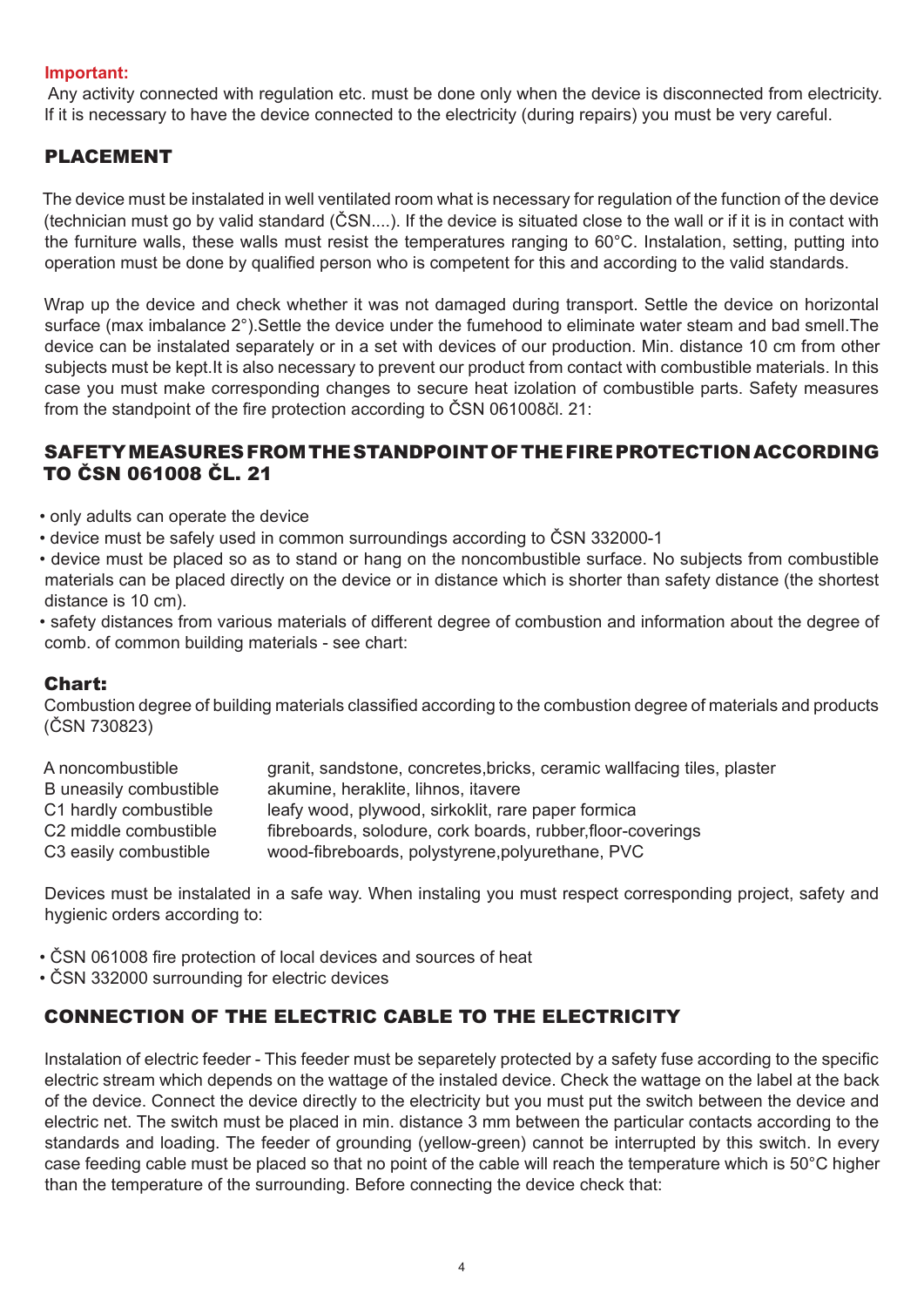#### **Important:**

 Any activity connected with regulation etc. must be done only when the device is disconnected from electricity. If it is necessary to have the device connected to the electricity (during repairs) you must be very careful.

#### PLACEMENT

The device must be instalated in well ventilated room what is necessary for regulation of the function of the device (technician must go by valid standard (ČSN....). If the device is situated close to the wall or if it is in contact with the furniture walls, these walls must resist the temperatures ranging to 60°C. Instalation, setting, putting into operation must be done by qualified person who is competent for this and according to the valid standards.

Wrap up the device and check whether it was not damaged during transport. Settle the device on horizontal surface (max imbalance 2°).Settle the device under the fumehood to eliminate water steam and bad smell.The device can be instalated separately or in a set with devices of our production. Min. distance 10 cm from other subjects must be kept.It is also necessary to prevent our product from contact with combustible materials. In this case you must make corresponding changes to secure heat izolation of combustible parts. Safety measures from the standpoint of the fire protection according to ČSN 061008čl. 21:

#### SAFETY MEASURES FROM THE STANDPOINT OF THE FIRE PROTECTION ACCORDING TO ČSN 061008 ČL. 21

- only adults can operate the device
- device must be safely used in common surroundings according to ČSN 332000-1
- device must be placed so as to stand or hang on the noncombustible surface. No subjects from combustible materials can be placed directly on the device or in distance which is shorter than safety distance (the shortest distance is 10 cm).
- safety distances from various materials of different degree of combustion and information about the degree of comb. of common building materials - see chart:

#### Chart:

Combustion degree of building materials classified according to the combustion degree of materials and products (ČSN 730823)

| granit, sandstone, concretes, bricks, ceramic wallfacing tiles, plaster |
|-------------------------------------------------------------------------|
| akumine, heraklite, lihnos, itavere                                     |
| leafy wood, plywood, sirkoklit, rare paper formica                      |
| fibreboards, solodure, cork boards, rubber, floor-coverings             |
| wood-fibreboards, polystyrene, polyurethane, PVC                        |
|                                                                         |

Devices must be instalated in a safe way. When instaling you must respect corresponding project, safety and hygienic orders according to:

- ČSN 061008 fire protection of local devices and sources of heat
- ČSN 332000 surrounding for electric devices

## CONNECTION OF THE ELECTRIC CABLE TO THE ELECTRICITY

Instalation of electric feeder - This feeder must be separetely protected by a safety fuse according to the specific electric stream which depends on the wattage of the instaled device. Check the wattage on the label at the back of the device. Connect the device directly to the electricity but you must put the switch between the device and electric net. The switch must be placed in min. distance 3 mm between the particular contacts according to the standards and loading. The feeder of grounding (yellow-green) cannot be interrupted by this switch. In every case feeding cable must be placed so that no point of the cable will reach the temperature which is 50°C higher than the temperature of the surrounding. Before connecting the device check that: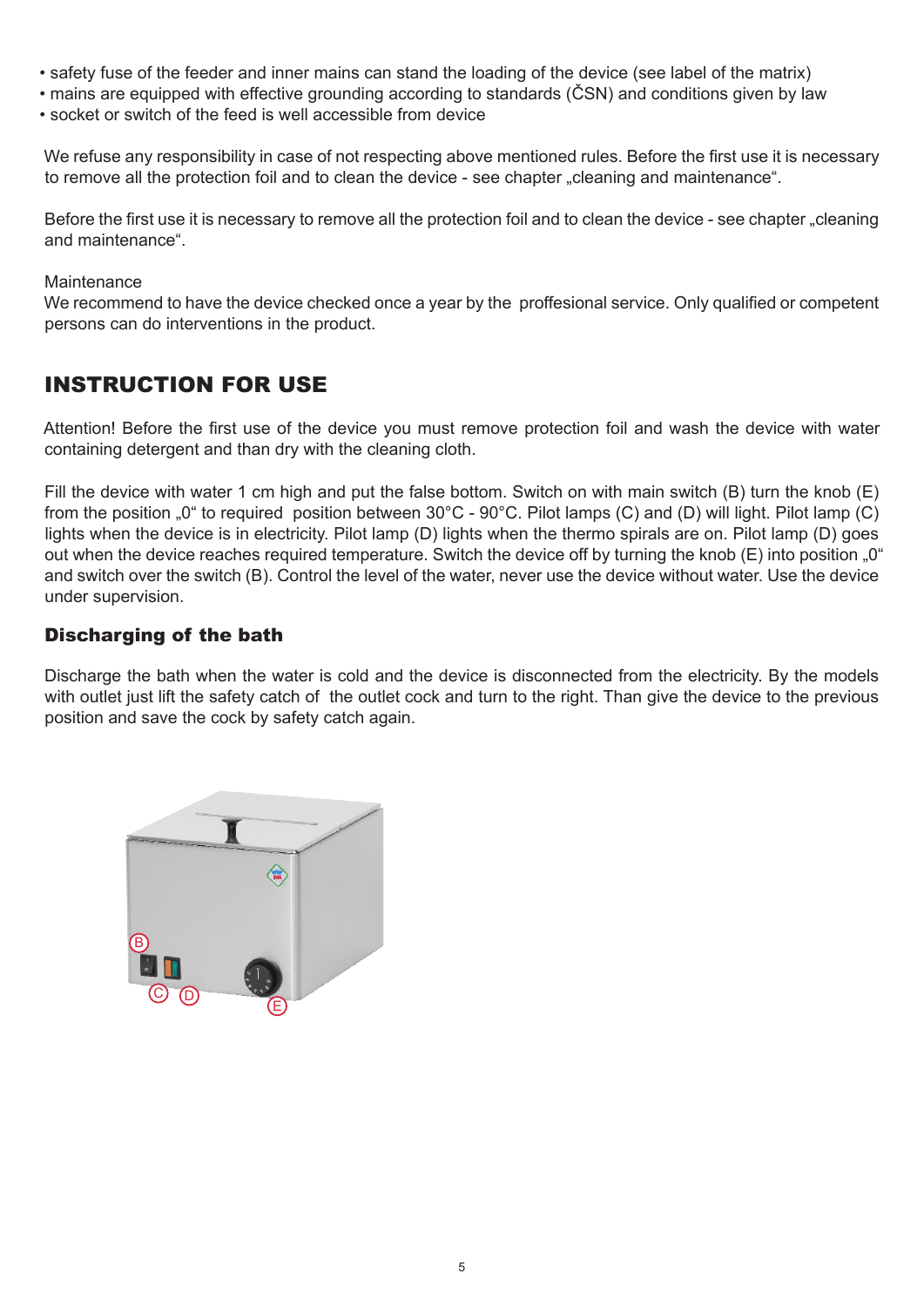- safety fuse of the feeder and inner mains can stand the loading of the device (see label of the matrix)
- mains are equipped with effective grounding according to standards (ČSN) and conditions given by law
- socket or switch of the feed is well accessible from device

We refuse any responsibility in case of not respecting above mentioned rules. Before the first use it is necessary to remove all the protection foil and to clean the device - see chapter "cleaning and maintenance".

Before the first use it is necessary to remove all the protection foil and to clean the device - see chapter "cleaning and maintenance".

#### Maintenance

We recommend to have the device checked once a year by the proffesional service. Only qualified or competent persons can do interventions in the product.

# INSTRUCTION FOR USE

Attention! Before the first use of the device you must remove protection foil and wash the device with water containing detergent and than dry with the cleaning cloth.

Fill the device with water 1 cm high and put the false bottom. Switch on with main switch (B) turn the knob (E) from the position "0" to required position between 30°C - 90°C. Pilot lamps (C) and (D) will light. Pilot lamp (C) lights when the device is in electricity. Pilot lamp (D) lights when the thermo spirals are on. Pilot lamp (D) goes out when the device reaches required temperature. Switch the device off by turning the knob (E) into position "0" and switch over the switch (B). Control the level of the water, never use the device without water. Use the device under supervision.

#### Discharging of the bath

Discharge the bath when the water is cold and the device is disconnected from the electricity. By the models with outlet just lift the safety catch of the outlet cock and turn to the right. Than give the device to the previous position and save the cock by safety catch again.

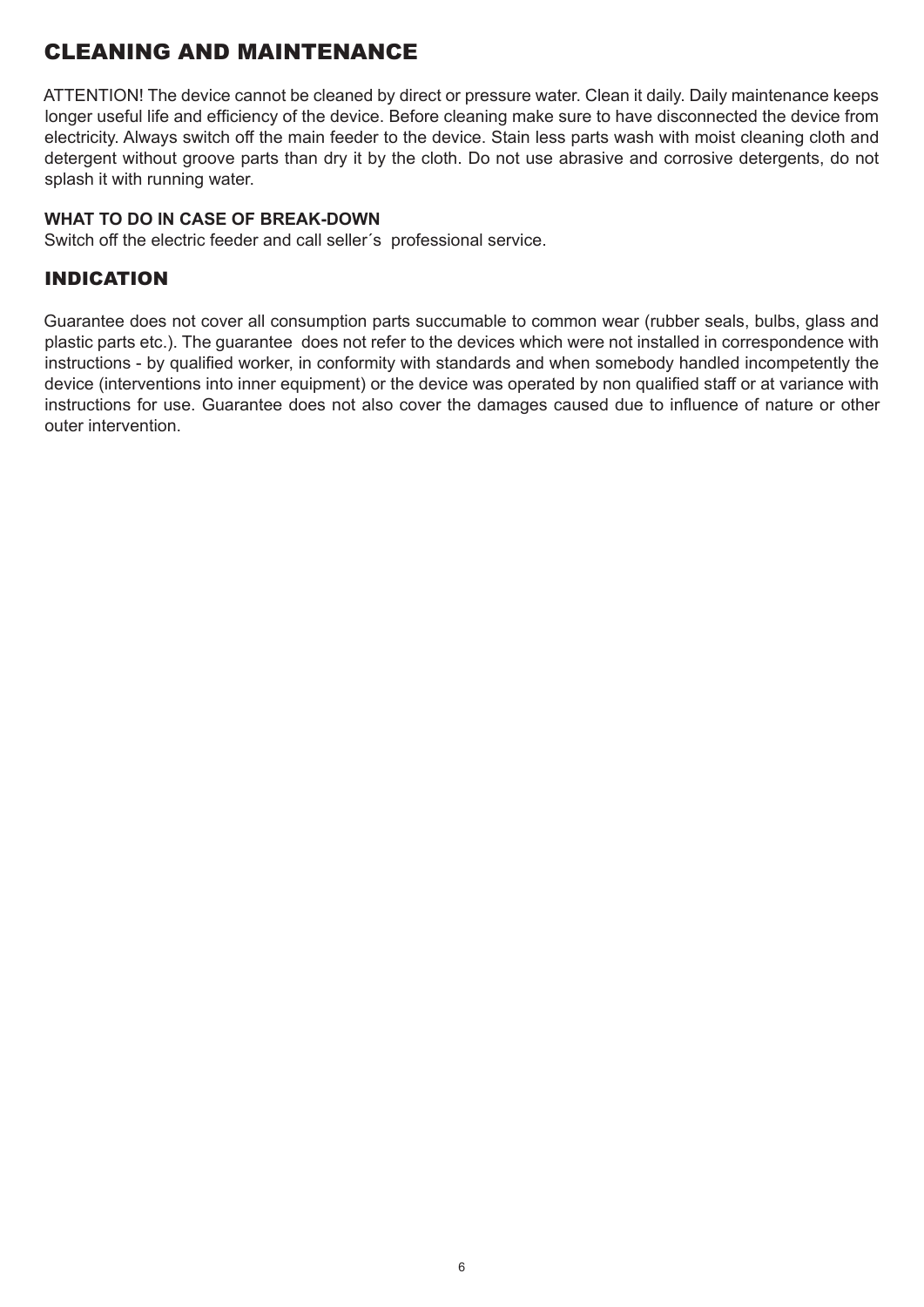# CLEANING AND MAINTENANCE

ATTENTION! The device cannot be cleaned by direct or pressure water. Clean it daily. Daily maintenance keeps longer useful life and efficiency of the device. Before cleaning make sure to have disconnected the device from electricity. Always switch off the main feeder to the device. Stain less parts wash with moist cleaning cloth and detergent without groove parts than dry it by the cloth. Do not use abrasive and corrosive detergents, do not splash it with running water.

#### **WHAT TO DO IN CASE OF BREAK-DOWN**

Switch off the electric feeder and call seller´s professional service.

## INDICATION

Guarantee does not cover all consumption parts succumable to common wear (rubber seals, bulbs, glass and plastic parts etc.). The guarantee does not refer to the devices which were not installed in correspondence with instructions - by qualified worker, in conformity with standards and when somebody handled incompetently the device (interventions into inner equipment) or the device was operated by non qualified staff or at variance with instructions for use. Guarantee does not also cover the damages caused due to influence of nature or other outer intervention.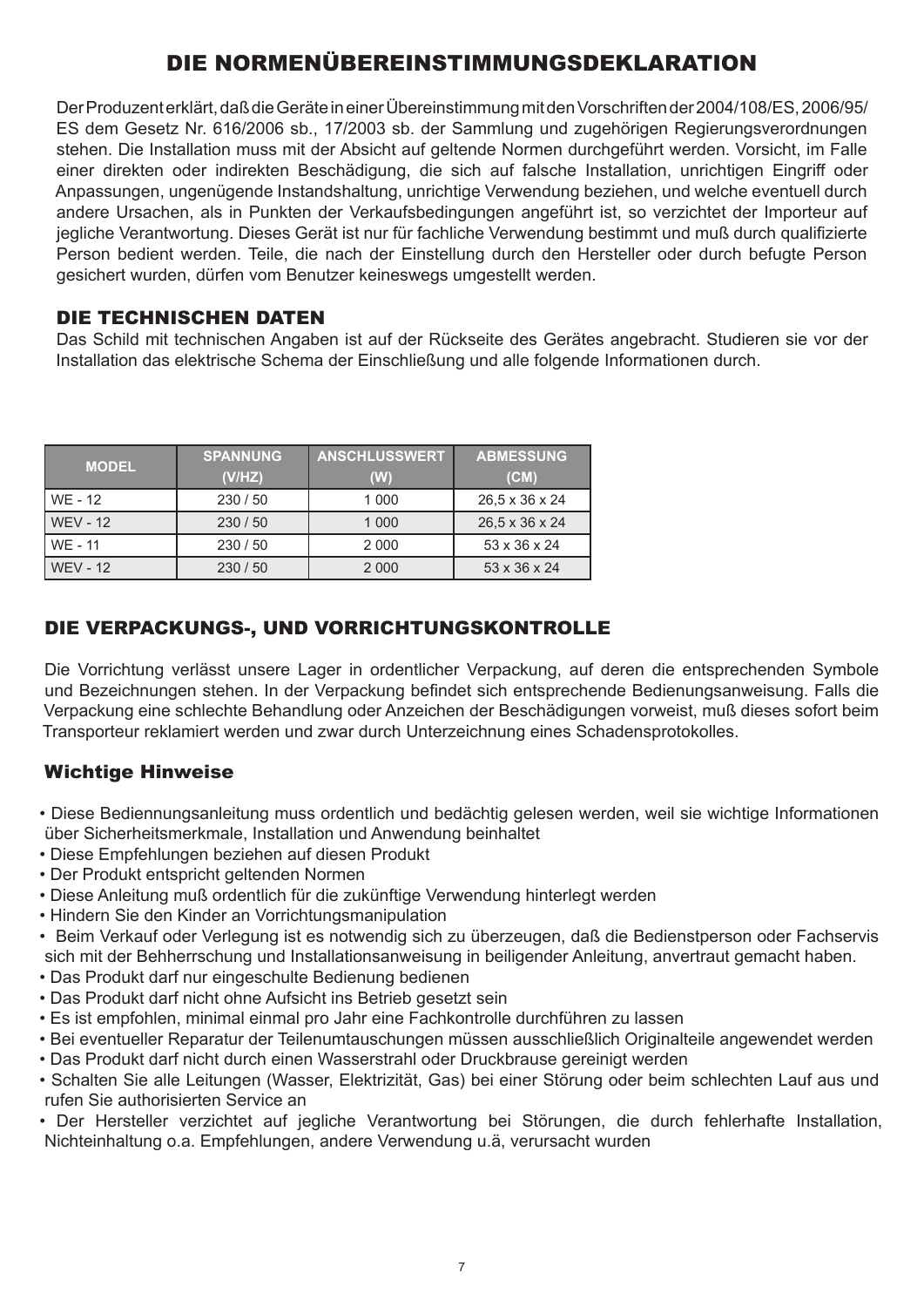# DIE NORMENÜBEREINSTIMMUNGSDEKLARATION

Der Produzent erklärt, daß die Geräte in einer Übereinstimmung mit den Vorschriften der 2004/108/ES, 2006/95/ ES dem Gesetz Nr. 616/2006 sb., 17/2003 sb. der Sammlung und zugehörigen Regierungsverordnungen stehen. Die Installation muss mit der Absicht auf geltende Normen durchgeführt werden. Vorsicht, im Falle einer direkten oder indirekten Beschädigung, die sich auf falsche Installation, unrichtigen Eingriff oder Anpassungen, ungenügende Instandshaltung, unrichtige Verwendung beziehen, und welche eventuell durch andere Ursachen, als in Punkten der Verkaufsbedingungen angeführt ist, so verzichtet der Importeur auf jegliche Verantwortung. Dieses Gerät ist nur für fachliche Verwendung bestimmt und muß durch qualifizierte Person bedient werden. Teile, die nach der Einstellung durch den Hersteller oder durch befugte Person gesichert wurden, dürfen vom Benutzer keineswegs umgestellt werden.

## DIE TECHNISCHEN DATEN

Das Schild mit technischen Angaben ist auf der Rückseite des Gerätes angebracht. Studieren sie vor der Installation das elektrische Schema der Einschließung und alle folgende Informationen durch.

| <b>MODEL</b>    | <b>SPANNUNG</b><br>(V/HZ) | <b>ANSCHLUSSWERT</b><br>(W) | <b>ABMESSUNG</b><br>(CM) |
|-----------------|---------------------------|-----------------------------|--------------------------|
| WE - 12         | 230/50                    | 1 0 0 0                     | 26,5 x 36 x 24           |
| <b>WEV - 12</b> | 230 / 50                  | 1 0 0 0                     | 26,5 x 36 x 24           |
| WE - 11         | 230 / 50                  | 2 0 0 0                     | 53 x 36 x 24             |
| <b>WEV - 12</b> | 230/50                    | 2 0 0 0                     | 53 x 36 x 24             |

# DIE VERPACKUNGS-, UND VORRICHTUNGSKONTROLLE

Die Vorrichtung verlässt unsere Lager in ordentlicher Verpackung, auf deren die entsprechenden Symbole und Bezeichnungen stehen. In der Verpackung befindet sich entsprechende Bedienungsanweisung. Falls die Verpackung eine schlechte Behandlung oder Anzeichen der Beschädigungen vorweist, muß dieses sofort beim Transporteur reklamiert werden und zwar durch Unterzeichnung eines Schadensprotokolles.

## Wichtige Hinweise

- Diese Bediennungsanleitung muss ordentlich und bedächtig gelesen werden, weil sie wichtige Informationen über Sicherheitsmerkmale, Installation und Anwendung beinhaltet
- Diese Empfehlungen beziehen auf diesen Produkt
- Der Produkt entspricht geltenden Normen
- Diese Anleitung muß ordentlich für die zukünftige Verwendung hinterlegt werden
- Hindern Sie den Kinder an Vorrichtungsmanipulation
- Beim Verkauf oder Verlegung ist es notwendig sich zu überzeugen, daß die Bedienstperson oder Fachservis sich mit der Behherrschung und Installationsanweisung in beiligender Anleitung, anvertraut gemacht haben.
- Das Produkt darf nur eingeschulte Bedienung bedienen
- Das Produkt darf nicht ohne Aufsicht ins Betrieb gesetzt sein
- Es ist empfohlen, minimal einmal pro Jahr eine Fachkontrolle durchführen zu lassen
- Bei eventueller Reparatur der Teilenumtauschungen müssen ausschließlich Originalteile angewendet werden
- Das Produkt darf nicht durch einen Wasserstrahl oder Druckbrause gereinigt werden
- Schalten Sie alle Leitungen (Wasser, Elektrizität, Gas) bei einer Störung oder beim schlechten Lauf aus und rufen Sie authorisierten Service an
- Der Hersteller verzichtet auf jegliche Verantwortung bei Störungen, die durch fehlerhafte Installation, Nichteinhaltung o.a. Empfehlungen, andere Verwendung u.ä, verursacht wurden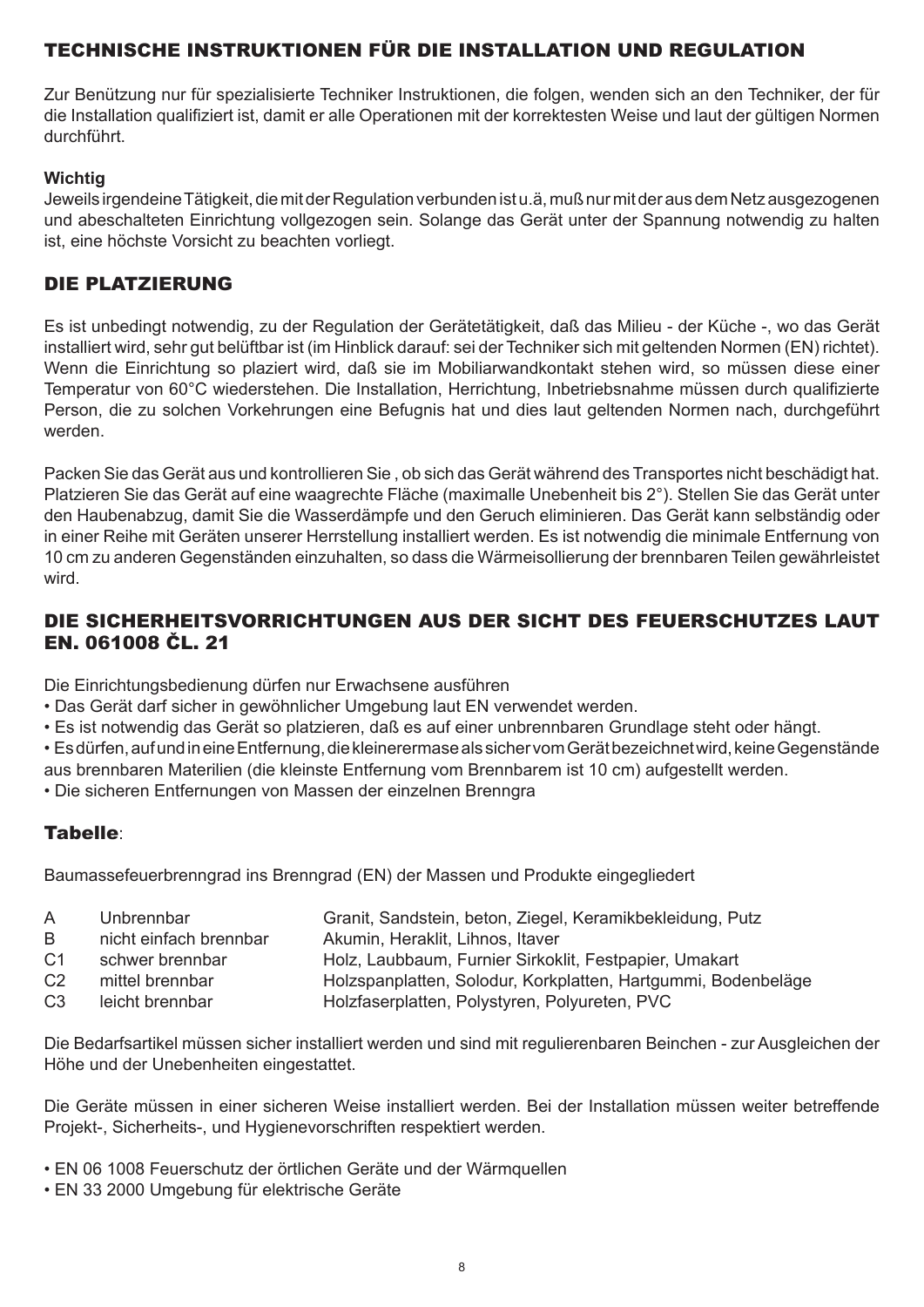# TECHNISCHE INSTRUKTIONEN FÜR DIE INSTALLATION UND REGULATION

Zur Benützung nur für spezialisierte Techniker Instruktionen, die folgen, wenden sich an den Techniker, der für die Installation qualifiziert ist, damit er alle Operationen mit der korrektesten Weise und laut der gültigen Normen durchführt.

#### **Wichtig**

Jeweils irgendeine Tätigkeit, die mit der Regulation verbunden ist u.ä, muß nur mit der aus dem Netz ausgezogenen und abeschalteten Einrichtung vollgezogen sein. Solange das Gerät unter der Spannung notwendig zu halten ist, eine höchste Vorsicht zu beachten vorliegt.

## DIE PLATZIERUNG

Es ist unbedingt notwendig, zu der Regulation der Gerätetätigkeit, daß das Milieu - der Küche -, wo das Gerät installiert wird, sehr gut belüftbar ist (im Hinblick darauf: sei der Techniker sich mit geltenden Normen (EN) richtet). Wenn die Einrichtung so plaziert wird, daß sie im Mobiliarwandkontakt stehen wird, so müssen diese einer Temperatur von 60°C wiederstehen. Die Installation, Herrichtung, Inbetriebsnahme müssen durch qualifizierte Person, die zu solchen Vorkehrungen eine Befugnis hat und dies laut geltenden Normen nach, durchgeführt werden.

Packen Sie das Gerät aus und kontrollieren Sie , ob sich das Gerät während des Transportes nicht beschädigt hat. Platzieren Sie das Gerät auf eine waagrechte Fläche (maximalle Unebenheit bis 2°). Stellen Sie das Gerät unter den Haubenabzug, damit Sie die Wasserdämpfe und den Geruch eliminieren. Das Gerät kann selbständig oder in einer Reihe mit Geräten unserer Herrstellung installiert werden. Es ist notwendig die minimale Entfernung von 10 cm zu anderen Gegenständen einzuhalten, so dass die Wärmeisollierung der brennbaren Teilen gewährleistet wird.

## DIE SICHERHEITSVORRICHTUNGEN AUS DER SICHT DES FEUERSCHUTZES LAUT EN. 061008 ČL. 21

Die Einrichtungsbedienung dürfen nur Erwachsene ausführen

- Das Gerät darf sicher in gewöhnlicher Umgebung laut EN verwendet werden.
- Es ist notwendig das Gerät so platzieren, daß es auf einer unbrennbaren Grundlage steht oder hängt.

• Es dürfen, auf und in eine Entfernung, die kleinerermase als sicher vom Gerät bezeichnet wird, keine Gegenstände

- aus brennbaren Materilien (die kleinste Entfernung vom Brennbarem ist 10 cm) aufgestellt werden.
- Die sicheren Entfernungen von Massen der einzelnen Brenngra

# Tabelle:

Baumassefeuerbrenngrad ins Brenngrad (EN) der Massen und Produkte eingegliedert

- A Unbrennbar Granit, Sandstein, beton, Ziegel, Keramikbekleidung, Putz
- B nicht einfach brennbar Akumin, Heraklit, Lihnos, Itaver
- C1 schwer brennbar Holz, Laubbaum, Furnier Sirkoklit, Festpapier, Umakart
- C2 mittel brennbar Holzspanplatten, Solodur, Korkplatten, Hartgummi, Bodenbeläge
- C3 leicht brennbar Holzfaserplatten, Polystyren, Polyureten, PVC

Die Bedarfsartikel müssen sicher installiert werden und sind mit regulierenbaren Beinchen - zur Ausgleichen der Höhe und der Unebenheiten eingestattet.

Die Geräte müssen in einer sicheren Weise installiert werden. Bei der Installation müssen weiter betreffende Projekt-, Sicherheits-, und Hygienevorschriften respektiert werden.

- EN 06 1008 Feuerschutz der örtlichen Geräte und der Wärmquellen
- EN 33 2000 Umgebung für elektrische Geräte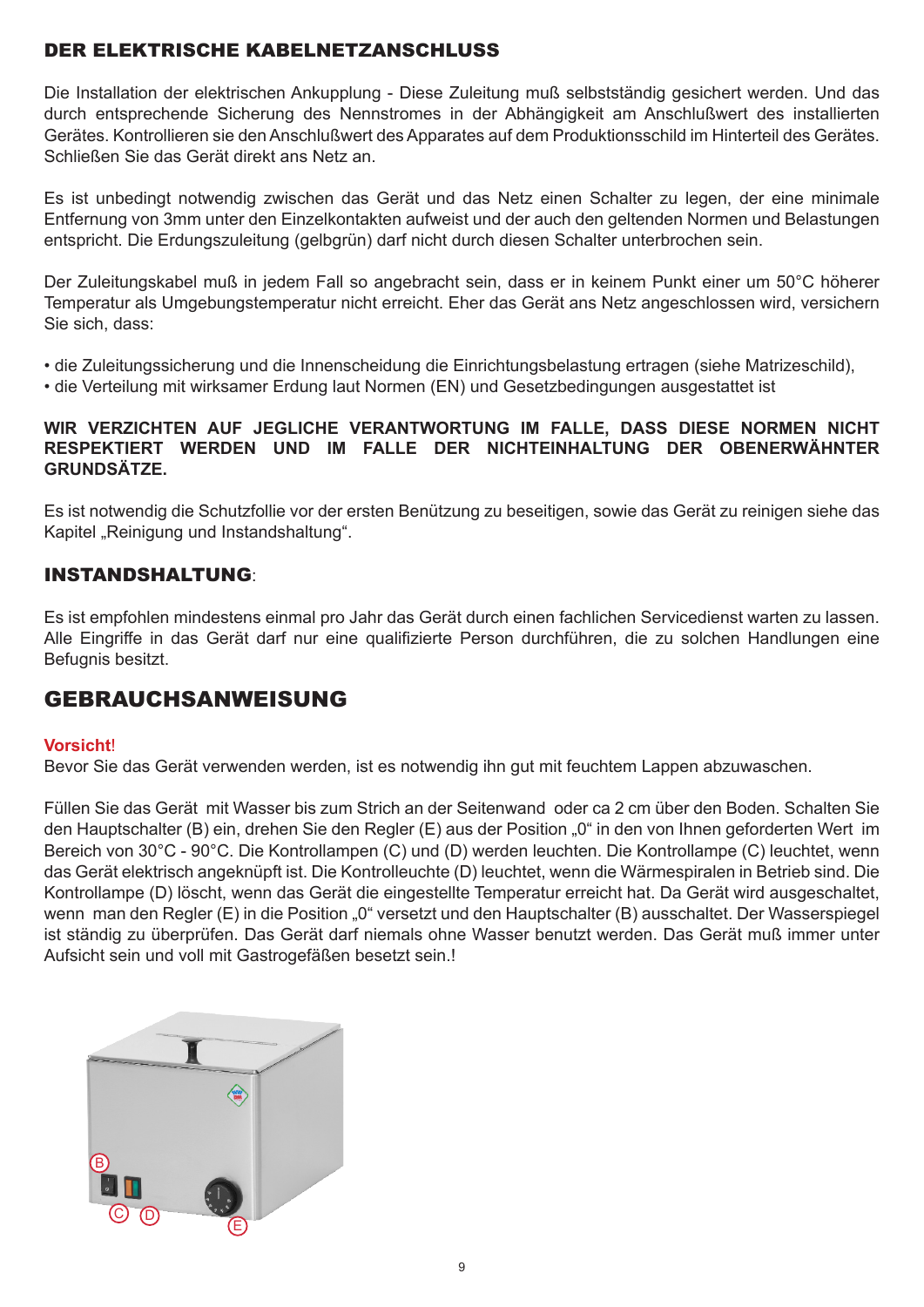# DER ELEKTRISCHE KABELNETZANSCHLUSS

Die Installation der elektrischen Ankupplung - Diese Zuleitung muß selbstständig gesichert werden. Und das durch entsprechende Sicherung des Nennstromes in der Abhängigkeit am Anschlußwert des installierten Gerätes. Kontrollieren sie den Anschlußwert des Apparates auf dem Produktionsschild im Hinterteil des Gerätes. Schließen Sie das Gerät direkt ans Netz an.

Es ist unbedingt notwendig zwischen das Gerät und das Netz einen Schalter zu legen, der eine minimale Entfernung von 3mm unter den Einzelkontakten aufweist und der auch den geltenden Normen und Belastungen entspricht. Die Erdungszuleitung (gelbgrün) darf nicht durch diesen Schalter unterbrochen sein.

Der Zuleitungskabel muß in jedem Fall so angebracht sein, dass er in keinem Punkt einer um 50°C höherer Temperatur als Umgebungstemperatur nicht erreicht. Eher das Gerät ans Netz angeschlossen wird, versichern Sie sich, dass:

• die Zuleitungssicherung und die Innenscheidung die Einrichtungsbelastung ertragen (siehe Matrizeschild),

• die Verteilung mit wirksamer Erdung laut Normen (EN) und Gesetzbedingungen ausgestattet ist

#### **WIR VERZICHTEN AUF JEGLICHE VERANTWORTUNG IM FALLE, DASS DIESE NORMEN NICHT RESPEKTIERT WERDEN UND IM FALLE DER NICHTEINHALTUNG DER OBENERWÄHNTER GRUNDSÄTZE.**

Es ist notwendig die Schutzfollie vor der ersten Benützung zu beseitigen, sowie das Gerät zu reinigen siehe das Kapitel "Reinigung und Instandshaltung".

## INSTANDSHALTUNG:

Es ist empfohlen mindestens einmal pro Jahr das Gerät durch einen fachlichen Servicedienst warten zu lassen. Alle Eingriffe in das Gerät darf nur eine qualifizierte Person durchführen, die zu solchen Handlungen eine Befugnis besitzt.

# GEBRAUCHSANWEISUNG

#### **Vorsicht**!

Bevor Sie das Gerät verwenden werden, ist es notwendig ihn gut mit feuchtem Lappen abzuwaschen.

Füllen Sie das Gerät mit Wasser bis zum Strich an der Seitenwand oder ca 2 cm über den Boden. Schalten Sie den Hauptschalter (B) ein, drehen Sie den Regler (E) aus der Position "0" in den von Ihnen geforderten Wert im Bereich von 30°C - 90°C. Die Kontrollampen (C) und (D) werden leuchten. Die Kontrollampe (C) leuchtet, wenn das Gerät elektrisch angeknüpft ist. Die Kontrolleuchte (D) leuchtet, wenn die Wärmespiralen in Betrieb sind. Die Kontrollampe (D) löscht, wenn das Gerät die eingestellte Temperatur erreicht hat. Da Gerät wird ausgeschaltet, wenn man den Regler (E) in die Position "0" versetzt und den Hauptschalter (B) ausschaltet. Der Wasserspiegel ist ständig zu überprüfen. Das Gerät darf niemals ohne Wasser benutzt werden. Das Gerät muß immer unter Aufsicht sein und voll mit Gastrogefäßen besetzt sein.!

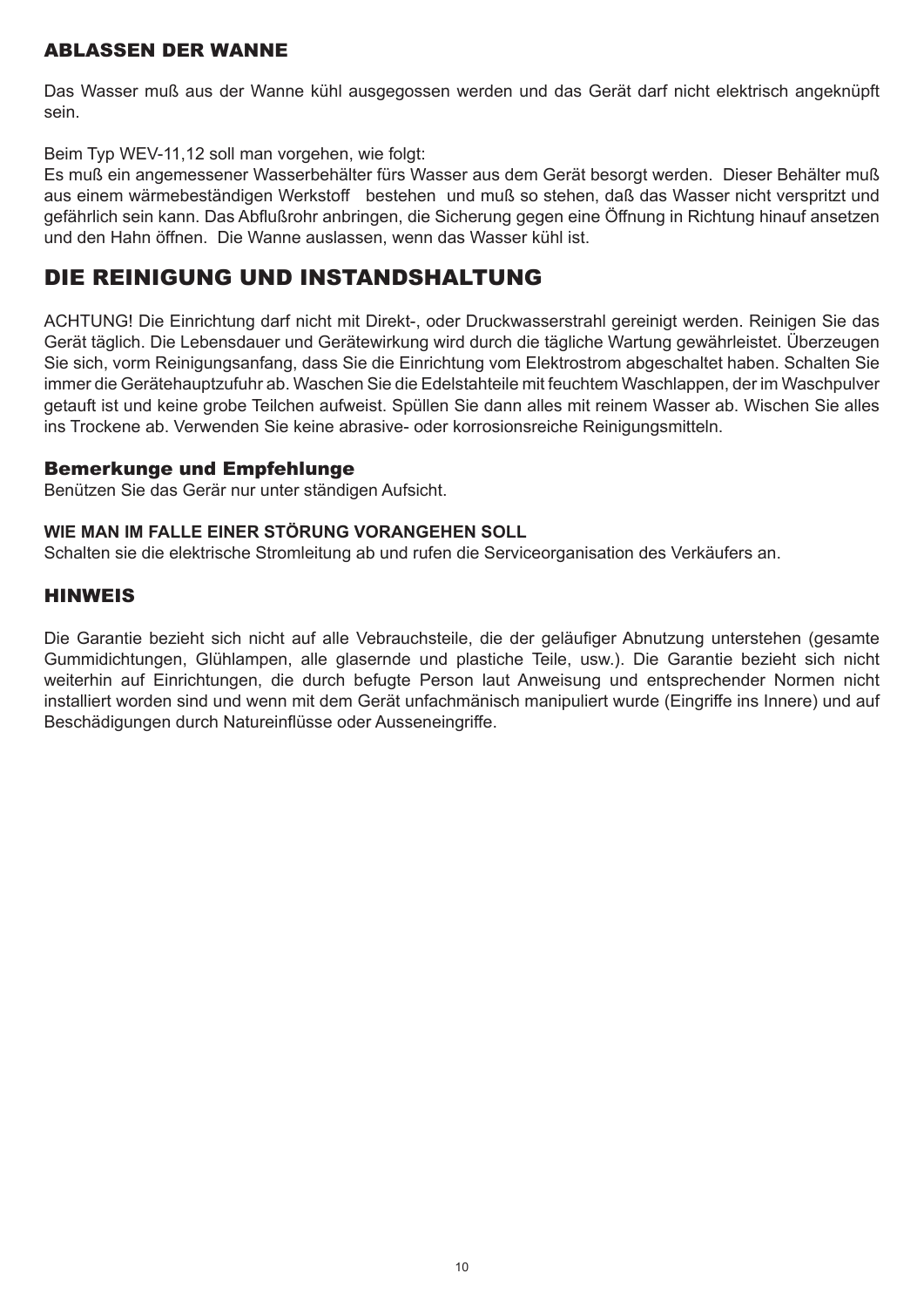## ABLASSEN DER WANNE

Das Wasser muß aus der Wanne kühl ausgegossen werden und das Gerät darf nicht elektrisch angeknüpft sein.

Beim Typ WEV-11,12 soll man vorgehen, wie folgt:

Es muß ein angemessener Wasserbehälter fürs Wasser aus dem Gerät besorgt werden. Dieser Behälter muß aus einem wärmebeständigen Werkstoff bestehen und muß so stehen, daß das Wasser nicht verspritzt und gefährlich sein kann. Das Abflußrohr anbringen, die Sicherung gegen eine Öffnung in Richtung hinauf ansetzen und den Hahn öffnen. Die Wanne auslassen, wenn das Wasser kühl ist.

# DIE REINIGUNG UND INSTANDSHALTUNG

ACHTUNG! Die Einrichtung darf nicht mit Direkt-, oder Druckwasserstrahl gereinigt werden. Reinigen Sie das Gerät täglich. Die Lebensdauer und Gerätewirkung wird durch die tägliche Wartung gewährleistet. Überzeugen Sie sich, vorm Reinigungsanfang, dass Sie die Einrichtung vom Elektrostrom abgeschaltet haben. Schalten Sie immer die Gerätehauptzufuhr ab. Waschen Sie die Edelstahteile mit feuchtem Waschlappen, der im Waschpulver getauft ist und keine grobe Teilchen aufweist. Spüllen Sie dann alles mit reinem Wasser ab. Wischen Sie alles ins Trockene ab. Verwenden Sie keine abrasive- oder korrosionsreiche Reinigungsmitteln.

#### Bemerkunge und Empfehlunge

Benützen Sie das Gerär nur unter ständigen Aufsicht.

#### **WIE MAN IM FALLE EINER STÖRUNG VORANGEHEN SOLL**

Schalten sie die elektrische Stromleitung ab und rufen die Serviceorganisation des Verkäufers an.

#### HINWEIS

Die Garantie bezieht sich nicht auf alle Vebrauchsteile, die der geläufiger Abnutzung unterstehen (gesamte Gummidichtungen, Glühlampen, alle glasernde und plastiche Teile, usw.). Die Garantie bezieht sich nicht weiterhin auf Einrichtungen, die durch befugte Person laut Anweisung und entsprechender Normen nicht installiert worden sind und wenn mit dem Gerät unfachmänisch manipuliert wurde (Eingriffe ins Innere) und auf Beschädigungen durch Natureinflüsse oder Ausseneingriffe.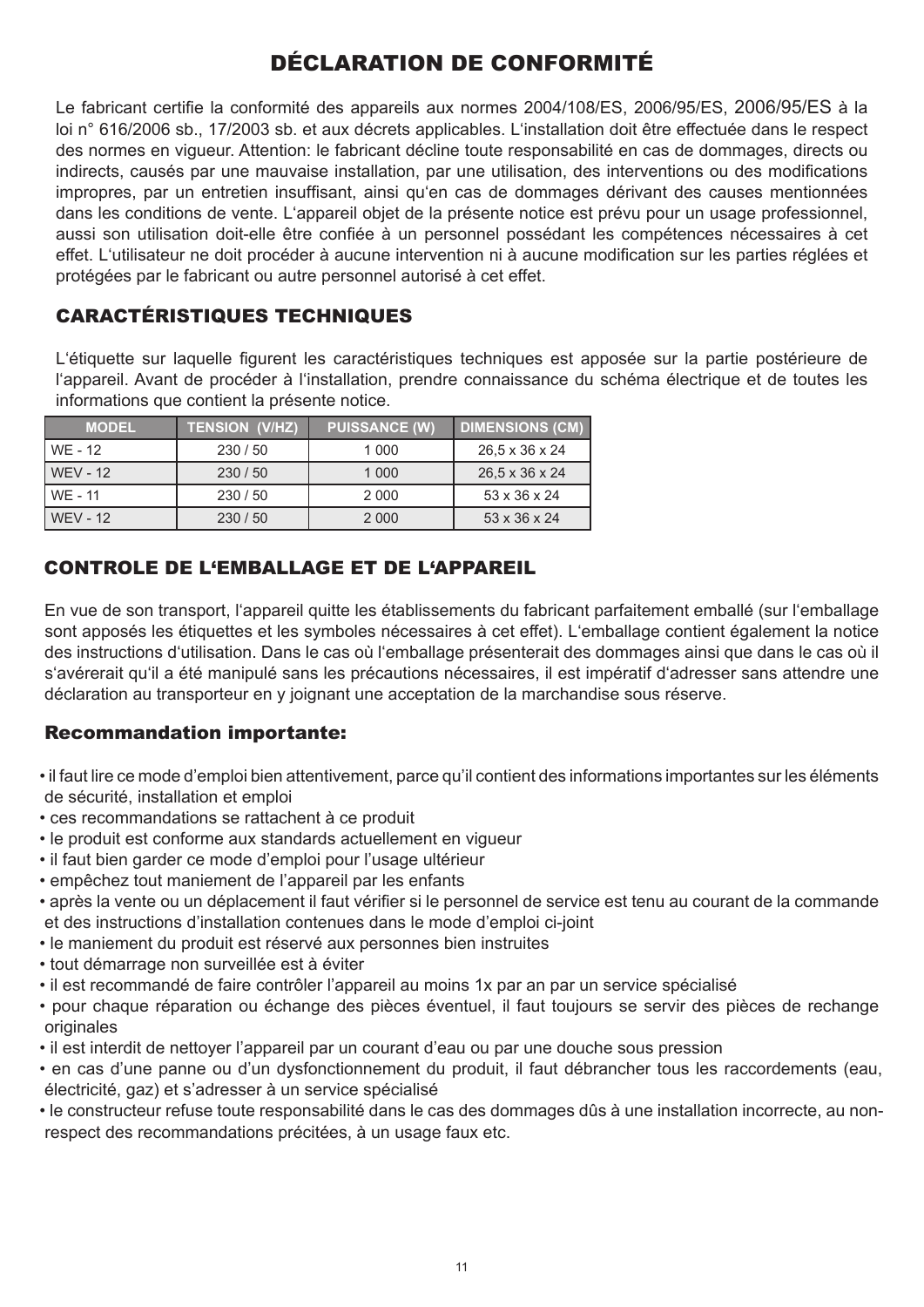# DÉCLARATION DE CONFORMITÉ

Le fabricant certifie la conformité des appareils aux normes 2004/108/ES, 2006/95/ES, 2006/95/ES à la loi n° 616/2006 sb., 17/2003 sb. et aux décrets applicables. L'installation doit être effectuée dans le respect des normes en vigueur. Attention: le fabricant décline toute responsabilité en cas de dommages, directs ou indirects, causés par une mauvaise installation, par une utilisation, des interventions ou des modifications impropres, par un entretien insuffisant, ainsi qu'en cas de dommages dérivant des causes mentionnées dans les conditions de vente. L'appareil objet de la présente notice est prévu pour un usage professionnel, aussi son utilisation doit-elle être confiée à un personnel possédant les compétences nécessaires à cet effet. L'utilisateur ne doit procéder à aucune intervention ni à aucune modification sur les parties réglées et protégées par le fabricant ou autre personnel autorisé à cet effet.

# CARACTÉRISTIQUES TECHNIQUES

L'étiquette sur laquelle figurent les caractéristiques techniques est apposée sur la partie postérieure de l'appareil. Avant de procéder à l'installation, prendre connaissance du schéma électrique et de toutes les informations que contient la présente notice.

| <b>MODEL</b>    | <b>TENSION (V/HZ),</b> | <b>PUISSANCE (W)</b> | <b>DIMENSIONS (CM)</b> |
|-----------------|------------------------|----------------------|------------------------|
| WF - 12         | 230/50                 | 1 000                | 26,5 x 36 x 24         |
| <b>WFV - 12</b> | 230/50                 | 1 0 0 0              | 26.5 x 36 x 24         |
| WE - 11         | 230/50                 | 2 0 0 0              | 53 x 36 x 24           |
| <b>WFV - 12</b> | 230/50                 | 2 0 0 0              | 53 x 36 x 24           |

# CONTROLE DE L'EMBALLAGE ET DE L'APPAREIL

En vue de son transport, l'appareil quitte les établissements du fabricant parfaitement emballé (sur l'emballage sont apposés les étiquettes et les symboles nécessaires à cet effet). L'emballage contient également la notice des instructions d'utilisation. Dans le cas où l'emballage présenterait des dommages ainsi que dans le cas où il s'avérerait qu'il a été manipulé sans les précautions nécessaires, il est impératif d'adresser sans attendre une déclaration au transporteur en y joignant une acceptation de la marchandise sous réserve.

## Recommandation importante:

- il faut lire ce mode d'emploi bien attentivement, parce qu'il contient des informations importantes sur les éléments de sécurité, installation et emploi
- ces recommandations se rattachent à ce produit
- le produit est conforme aux standards actuellement en vigueur
- il faut bien garder ce mode d'emploi pour l'usage ultérieur
- empêchez tout maniement de l'appareil par les enfants
- après la vente ou un déplacement il faut vérifier si le personnel de service est tenu au courant de la commande et des instructions d'installation contenues dans le mode d'emploi ci-joint
- le maniement du produit est réservé aux personnes bien instruites
- tout démarrage non surveillée est à éviter
- il est recommandé de faire contrôler l'appareil au moins 1x par an par un service spécialisé
- pour chaque réparation ou échange des pièces éventuel, il faut toujours se servir des pièces de rechange originales
- il est interdit de nettoyer l'appareil par un courant d'eau ou par une douche sous pression
- en cas d'une panne ou d'un dysfonctionnement du produit, il faut débrancher tous les raccordements (eau, électricité, gaz) et s'adresser à un service spécialisé
- le constructeur refuse toute responsabilité dans le cas des dommages dûs à une installation incorrecte, au nonrespect des recommandations précitées, à un usage faux etc.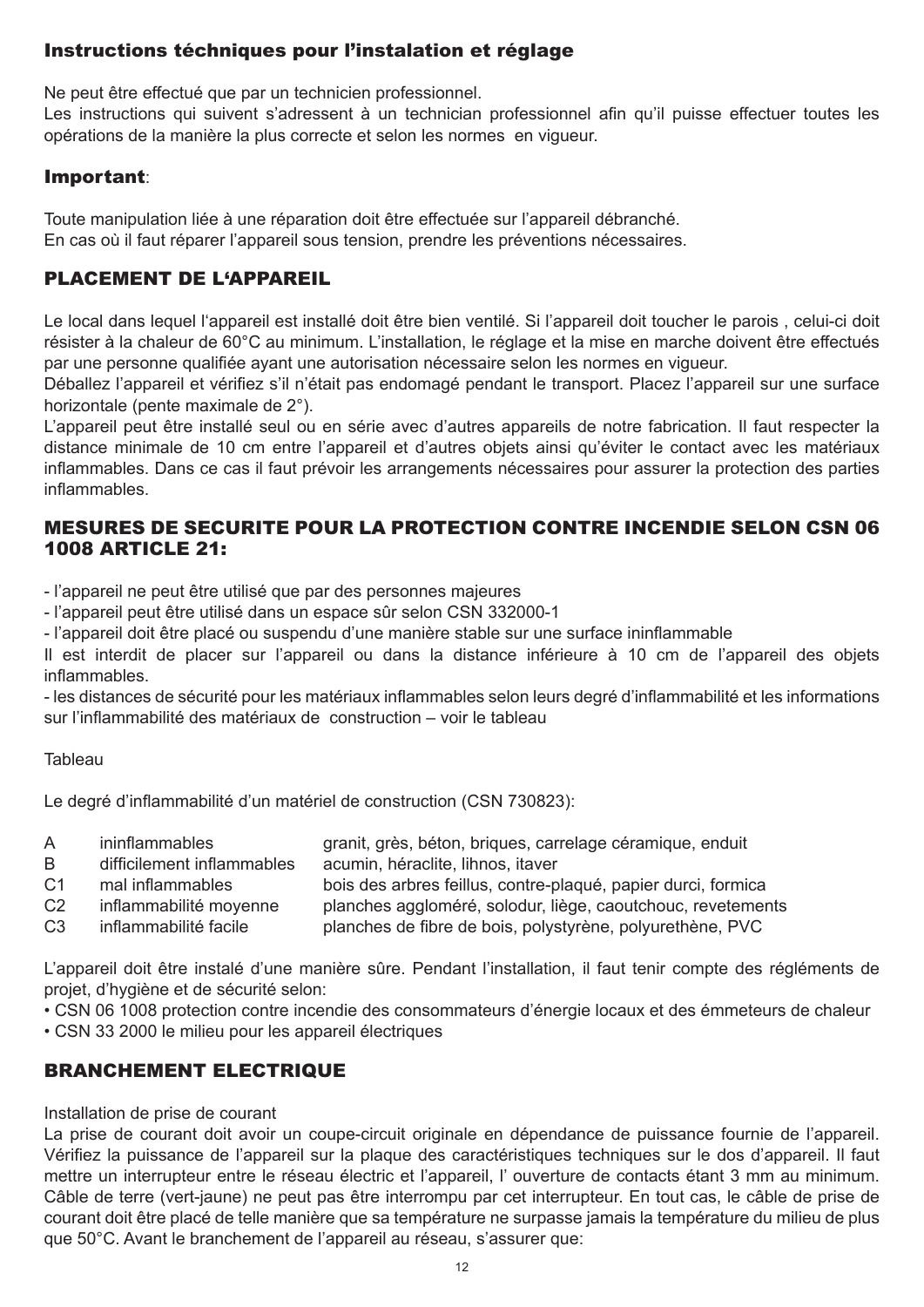## Instructions téchniques pour l'instalation et réglage

Ne peut être effectué que par un technicien professionnel.

Les instructions qui suivent s'adressent à un technician professionnel afin qu'il puisse effectuer toutes les opérations de la manière la plus correcte et selon les normes en vigueur.

#### Important:

Toute manipulation liée à une réparation doit être effectuée sur l'appareil débranché. En cas où il faut réparer l'appareil sous tension, prendre les préventions nécessaires.

## PLACEMENT DE L'APPAREIL

Le local dans lequel l'appareil est installé doit être bien ventilé. Si l'appareil doit toucher le parois, celui-ci doit résister à la chaleur de 60°C au minimum. L'installation, le réglage et la mise en marche doivent être effectués par une personne qualifiée ayant une autorisation nécessaire selon les normes en vigueur.

Déballez l'appareil et vérifiez s'il n'était pas endomagé pendant le transport. Placez l'appareil sur une surface horizontale (pente maximale de 2°).

L'appareil peut être installé seul ou en série avec d'autres appareils de notre fabrication. Il faut respecter la distance minimale de 10 cm entre l'appareil et d'autres objets ainsi qu'éviter le contact avec les matériaux inflammables. Dans ce cas il faut prévoir les arrangements nécessaires pour assurer la protection des parties inflammables.

## MESURES DE SECURITE POUR LA PROTECTION CONTRE INCENDIE SELON CSN 06 1008 ARTICLE 21:

- l'appareil ne peut être utilisé que par des personnes majeures

- l'appareil peut être utilisé dans un espace sûr selon CSN 332000-1

- l'appareil doit être placé ou suspendu d'une manière stable sur une surface ininflammable

Il est interdit de placer sur l'appareil ou dans la distance inférieure à 10 cm de l'appareil des objets inflammables.

- les distances de sécurité pour les matériaux inflammables selon leurs degré d'inflammabilité et les informations sur l'inflammabilité des matériaux de construction – voir le tableau

#### **Tableau**

Le degré d'inflammabilité d'un matériel de construction (CSN 730823):

| $\mathsf{A}$   | ininflammables             | granit, grès, béton, briques, carrelage céramique, enduit     |
|----------------|----------------------------|---------------------------------------------------------------|
| B.             | difficilement inflammables | acumin, héraclite, lihnos, itaver                             |
| C <sub>1</sub> | mal inflammables           | bois des arbres feillus, contre-plaqué, papier durci, formica |
| C <sub>2</sub> | inflammabilité moyenne     | planches aggloméré, solodur, liège, caoutchouc, revetements   |
| C <sub>3</sub> | inflammabilité facile      | planches de fibre de bois, polystyrène, polyurethène, PVC     |

L'appareil doit être instalé d'une manière sûre. Pendant l'installation, il faut tenir compte des régléments de projet, d'hygiène et de sécurité selon:

• CSN 06 1008 protection contre incendie des consommateurs d'énergie locaux et des émmeteurs de chaleur

• CSN 33 2000 le milieu pour les appareil électriques

# BRANCHEMENT ELECTRIQUE

#### Installation de prise de courant

La prise de courant doit avoir un coupe-circuit originale en dépendance de puissance fournie de l'appareil. Vérifiez la puissance de l'appareil sur la plaque des caractéristiques techniques sur le dos d'appareil. Il faut mettre un interrupteur entre le réseau électric et l'appareil, l' ouverture de contacts étant 3 mm au minimum. Câble de terre (vert-jaune) ne peut pas être interrompu par cet interrupteur. En tout cas, le câble de prise de courant doit être placé de telle manière que sa température ne surpasse jamais la température du milieu de plus que 50°C. Avant le branchement de l'appareil au réseau, s'assurer que: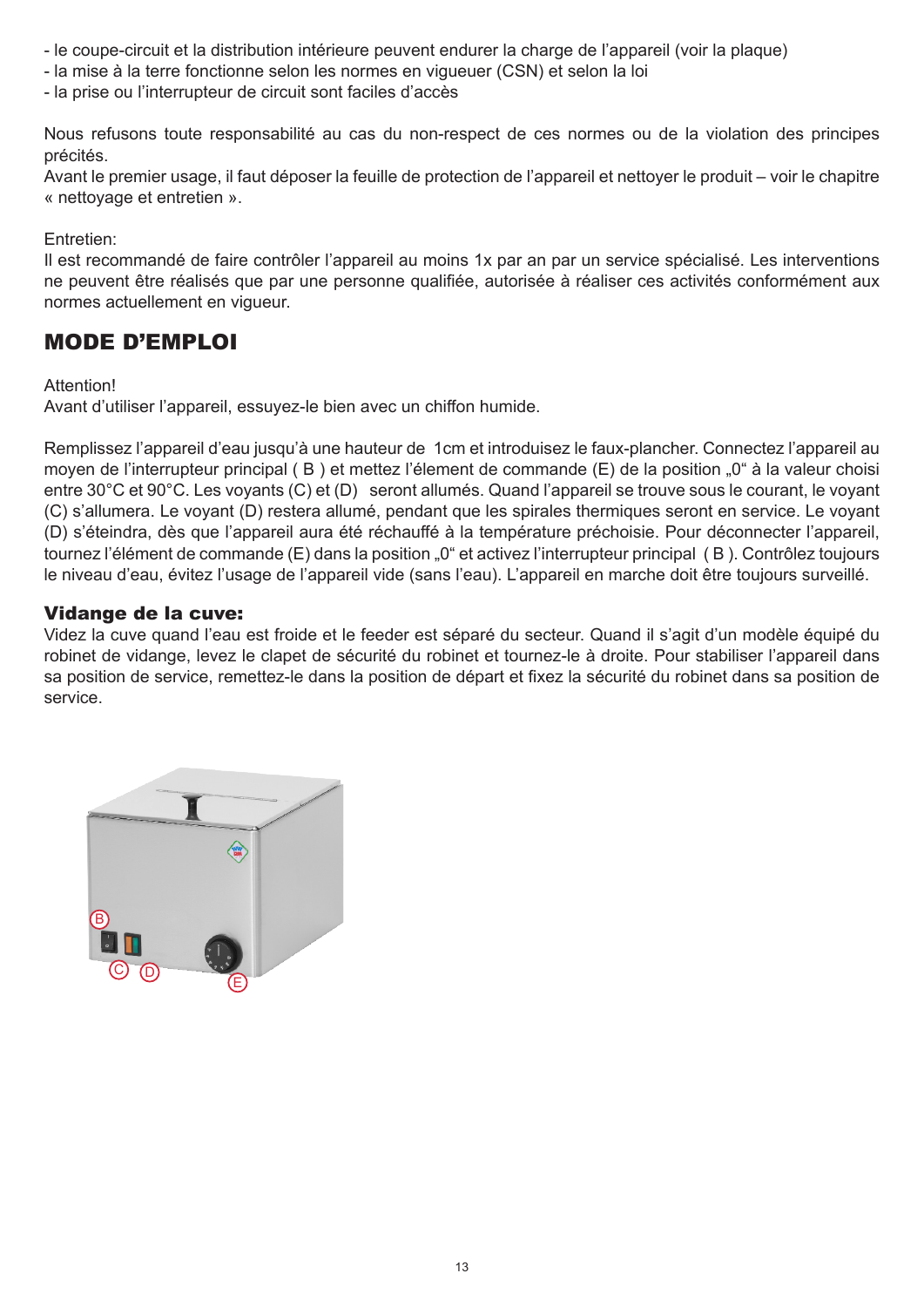- le coupe-circuit et la distribution intérieure peuvent endurer la charge de l'appareil (voir la plaque)
- la mise à la terre fonctionne selon les normes en vigueuer (CSN) et selon la loi
- la prise ou l'interrupteur de circuit sont faciles d'accès

Nous refusons toute responsabilité au cas du non-respect de ces normes ou de la violation des principes précités.

Avant le premier usage, il faut déposer la feuille de protection de l'appareil et nettoyer le produit – voir le chapitre « nettoyage et entretien ».

Entretien:

Il est recommandé de faire contrôler l'appareil au moins 1x par an par un service spécialisé. Les interventions ne peuvent être réalisés que par une personne qualifiée, autorisée à réaliser ces activités conformément aux normes actuellement en vigueur.

# MODE D'EMPLOI

#### Attention!

Avant d'utiliser l'appareil, essuyez-le bien avec un chiffon humide.

Remplissez l'appareil d'eau jusqu'à une hauteur de 1cm et introduisez le faux-plancher. Connectez l'appareil au moyen de l'interrupteur principal (B) et mettez l'élement de commande (E) de la position "0" à la valeur choisi entre 30°C et 90°C. Les voyants (C) et (D) seront allumés. Quand l'appareil se trouve sous le courant, le voyant (C) s'allumera. Le voyant (D) restera allumé, pendant que les spirales thermiques seront en service. Le voyant (D) s'éteindra, dès que l'appareil aura été réchauffé à la température préchoisie. Pour déconnecter l'appareil, tournez l'élément de commande (E) dans la position "0" et activez l'interrupteur principal (B). Contrôlez toujours le niveau d'eau, évitez l'usage de l'appareil vide (sans l'eau). L'appareil en marche doit être toujours surveillé.

#### Vidange de la cuve:

Videz la cuve quand l'eau est froide et le feeder est séparé du secteur. Quand il s'agit d'un modèle équipé du robinet de vidange, levez le clapet de sécurité du robinet et tournez-le à droite. Pour stabiliser l'appareil dans sa position de service, remettez-le dans la position de départ et fixez la sécurité du robinet dans sa position de service.

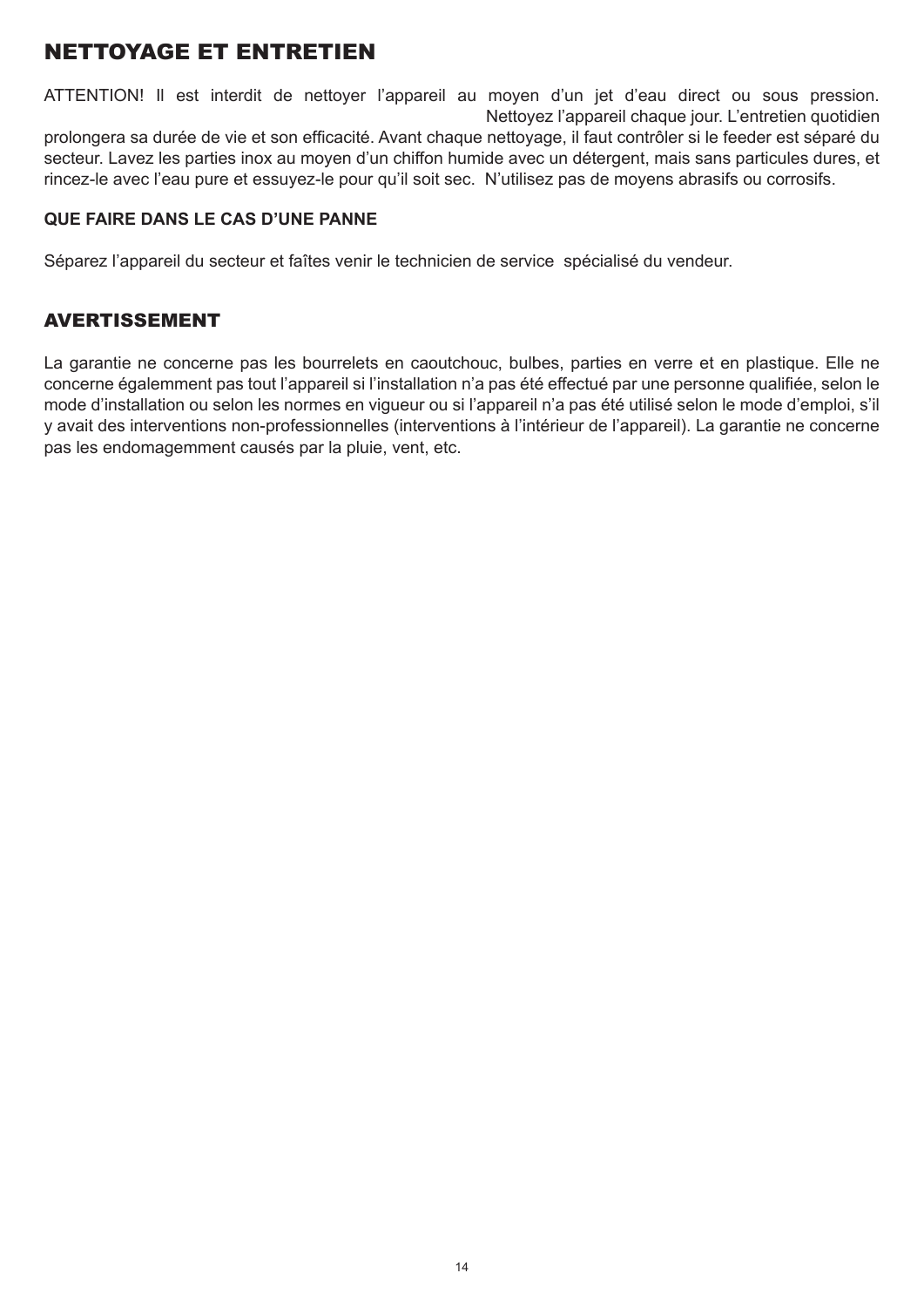# NETTOYAGE ET ENTRETIEN

ATTENTION! Il est interdit de nettoyer l'appareil au moyen d'un jet d'eau direct ou sous pression. Nettoyez l'appareil chaque jour. L'entretien quotidien prolongera sa durée de vie et son efficacité. Avant chaque nettoyage, il faut contrôler si le feeder est séparé du secteur. Lavez les parties inox au moyen d'un chiffon humide avec un détergent, mais sans particules dures, et rincez-le avec l'eau pure et essuyez-le pour qu'il soit sec. N'utilisez pas de moyens abrasifs ou corrosifs.

#### **QUE FAIRE DANS LE CAS D'UNE PANNE**

Séparez l'appareil du secteur et faîtes venir le technicien de service spécialisé du vendeur.

## AVERTISSEMENT

La garantie ne concerne pas les bourrelets en caoutchouc, bulbes, parties en verre et en plastique. Elle ne concerne égalemment pas tout l'appareil si l'installation n'a pas été effectué par une personne qualifiée, selon le mode d'installation ou selon les normes en vigueur ou si l'appareil n'a pas été utilisé selon le mode d'emploi, s'il y avait des interventions non-professionnelles (interventions à l'intérieur de l'appareil). La garantie ne concerne pas les endomagemment causés par la pluie, vent, etc.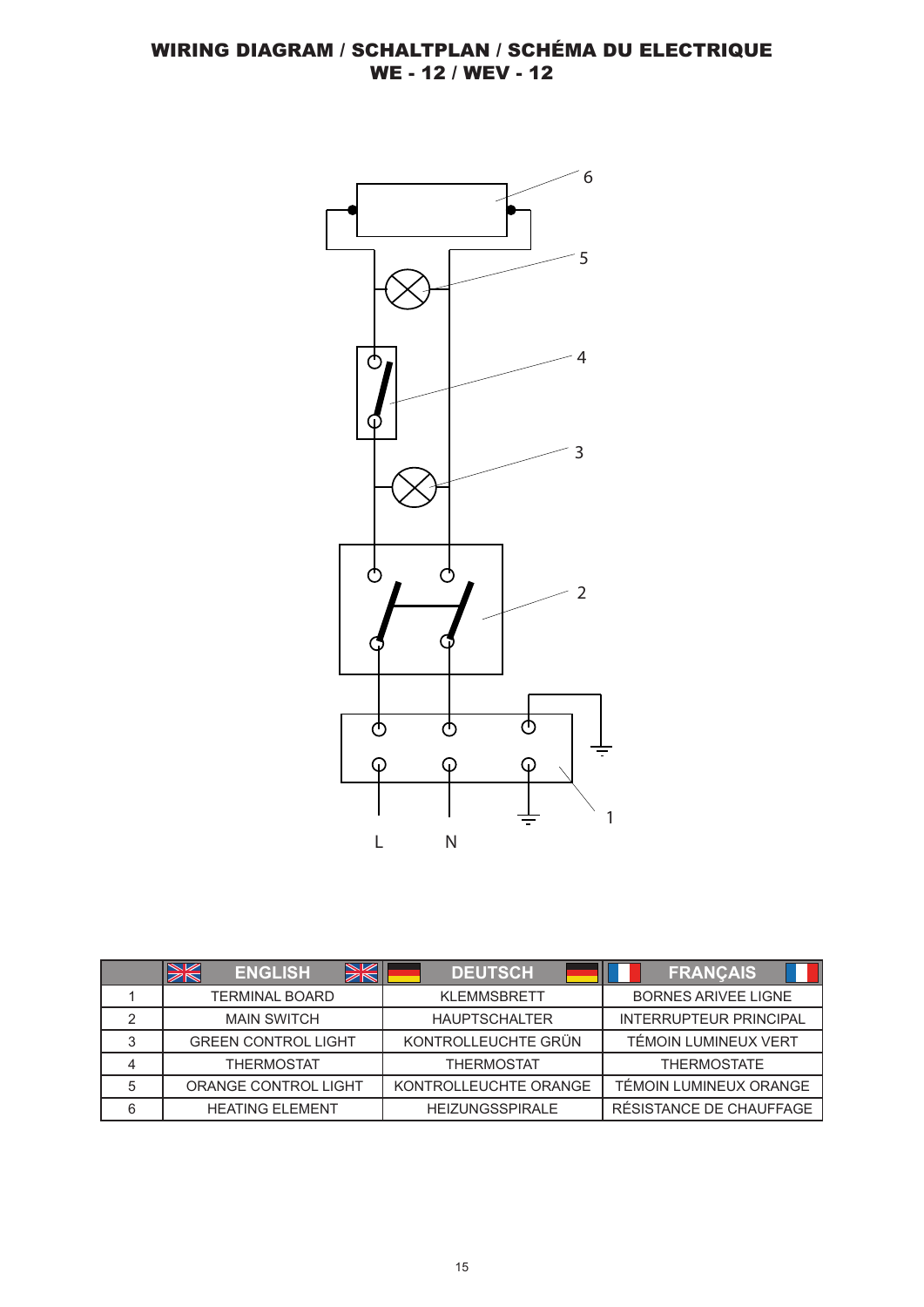

|   | <b>WK</b><br><b>SK</b><br><b>ENGLISH</b> | <b>DEUTSCH</b>         | <b>FRANÇAIS</b>               |
|---|------------------------------------------|------------------------|-------------------------------|
|   | <b>TERMINAL BOARD</b>                    | <b>KLEMMSBRETT</b>     | <b>BORNES ARIVEE LIGNE</b>    |
| っ | <b>MAIN SWITCH</b>                       | <b>HAUPTSCHALTER</b>   | <b>INTERRUPTEUR PRINCIPAL</b> |
| 3 | <b>GREEN CONTROL LIGHT</b>               | KONTROLLEUCHTE GRÜN    | TÉMOIN LUMINEUX VERT          |
|   | <b>THERMOSTAT</b>                        | <b>THERMOSTAT</b>      | <b>THERMOSTATE</b>            |
| 5 | ORANGE CONTROL LIGHT                     | KONTROLLEUCHTE ORANGE  | TÉMOIN LUMINEUX ORANGE        |
| 6 | <b>HEATING ELEMENT</b>                   | <b>HEIZUNGSSPIRALE</b> | RÉSISTANCE DE CHAUFFAGE       |